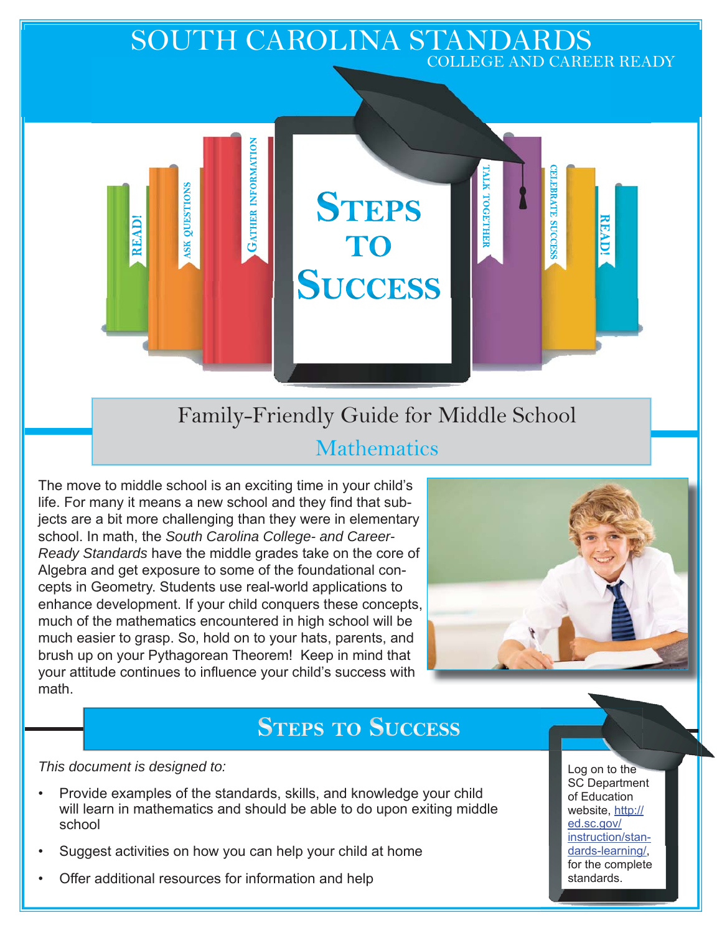# SOUTH CAROLINA STANDARDS COLLEGE AND CAREER READY

Family-Friendly Guide for Middle School **Mathematics** 

**STEPS** 

TO

**SUCCESS** 

The move to middle school is an exciting time in your child's life. For many it means a new school and they find that subjects are a bit more challenging than they were in elementary school. In math, the *South Carolina College- and Career-Ready Standards* have the middle grades take on the core of Algebra and get exposure to some of the foundational concepts in Geometry. Students use real-world applications to enhance development. If your child conquers these concepts, much of the mathematics encountered in high school will be much easier to grasp. So, hold on to your hats, parents, and brush up on your Pythagorean Theorem! Keep in mind that your attitude continues to influence your child's success with math.

**GATHER INFORMATION** 

QUESTIONS

**SK** 

READ!



**ELEBRATE SUCCESS** 

**READ!** 

МИ ТОСЕТНЕН

# **STEPS TO SUCCESS**

*This document is designed to:* 

- Provide examples of the standards, skills, and knowledge your child will learn in mathematics and should be able to do upon exiting middle school
- Suggest activities on how you can help your child at home
- Offer additional resources for information and help

Log on to the SC Department of Education website, http:// ed.sc.gov/ instruction/standards-learning/, for the complete standards.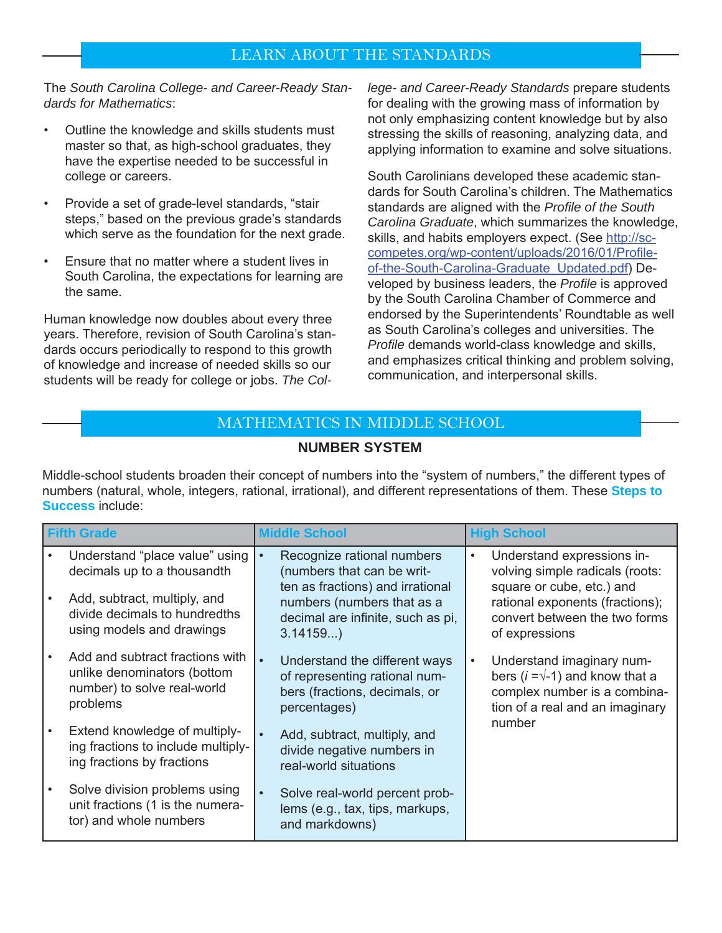## LEARN ABOUT THE STANDARDS

The *South Carolina College- and Career-Ready Standards for Mathematics*:

- Outline the knowledge and skills students must master so that, as high-school graduates, they have the expertise needed to be successful in college or careers.
- Provide a set of grade-level standards, "stair steps," based on the previous grade's standards which serve as the foundation for the next grade.
- Ensure that no matter where a student lives in South Carolina, the expectations for learning are the same.

Human knowledge now doubles about every three years. Therefore, revision of South Carolina's standards occurs periodically to respond to this growth of knowledge and increase of needed skills so our students will be ready for college or jobs. *The Col-* *lege- and Career-Ready Standards* prepare students for dealing with the growing mass of information by not only emphasizing content knowledge but by also stressing the skills of reasoning, analyzing data, and applying information to examine and solve situations.

South Carolinians developed these academic standards for South Carolina's children. The Mathematics standards are aligned with the *Profile of the South Carolina Graduate*, which summarizes the knowledge, skills, and habits employers expect. (See http://sccompetes.org/wp-content/uploads/2016/01/Profileof-the-South-Carolina-Graduate\_Updated.pdf) Developed by business leaders, the *Profile* is approved by the South Carolina Chamber of Commerce and endorsed by the Superintendents' Roundtable as well as South Carolina's colleges and universities. The *Profile* demands world-class knowledge and skills, and emphasizes critical thinking and problem solving, communication, and interpersonal skills.

## MATHEMATICS IN MIDDLE SCHOOL

#### **NUMBER SYSTEM**

Middle-school students broaden their concept of numbers into the "system of numbers," the different types of numbers (natural, whole, integers, rational, irrational), and different representations of them. These **Steps to Success** include:

| <b>Fifth Grade</b> |                                                                                                           | <b>Middle School</b>                                                                                                         | <b>High School</b>                                                                                                                     |
|--------------------|-----------------------------------------------------------------------------------------------------------|------------------------------------------------------------------------------------------------------------------------------|----------------------------------------------------------------------------------------------------------------------------------------|
|                    | Understand "place value" using  <br>decimals up to a thousandth                                           | Recognize rational numbers<br>$\bullet$<br>(numbers that can be writ-<br>ten as fractions) and irrational                    | Understand expressions in-<br>volving simple radicals (roots:<br>square or cube, etc.) and                                             |
|                    | Add, subtract, multiply, and<br>divide decimals to hundredths<br>using models and drawings                | numbers (numbers that as a<br>decimal are infinite, such as pi,<br>3.14159                                                   | rational exponents (fractions);<br>convert between the two forms<br>of expressions                                                     |
|                    | Add and subtract fractions with<br>unlike denominators (bottom<br>number) to solve real-world<br>problems | $\bullet$<br>Understand the different ways<br>of representing rational num-<br>bers (fractions, decimals, or<br>percentages) | Understand imaginary num-<br>bers $(i = \sqrt{-1})$ and know that a<br>complex number is a combina-<br>tion of a real and an imaginary |
|                    | Extend knowledge of multiply-<br>ing fractions to include multiply-<br>ing fractions by fractions         | Add, subtract, multiply, and<br>$\bullet$<br>divide negative numbers in<br>real-world situations                             | number                                                                                                                                 |
|                    | Solve division problems using<br>unit fractions (1 is the numera-<br>tor) and whole numbers               | Solve real-world percent prob-<br>$\bullet$<br>lems (e.g., tax, tips, markups,<br>and markdowns)                             |                                                                                                                                        |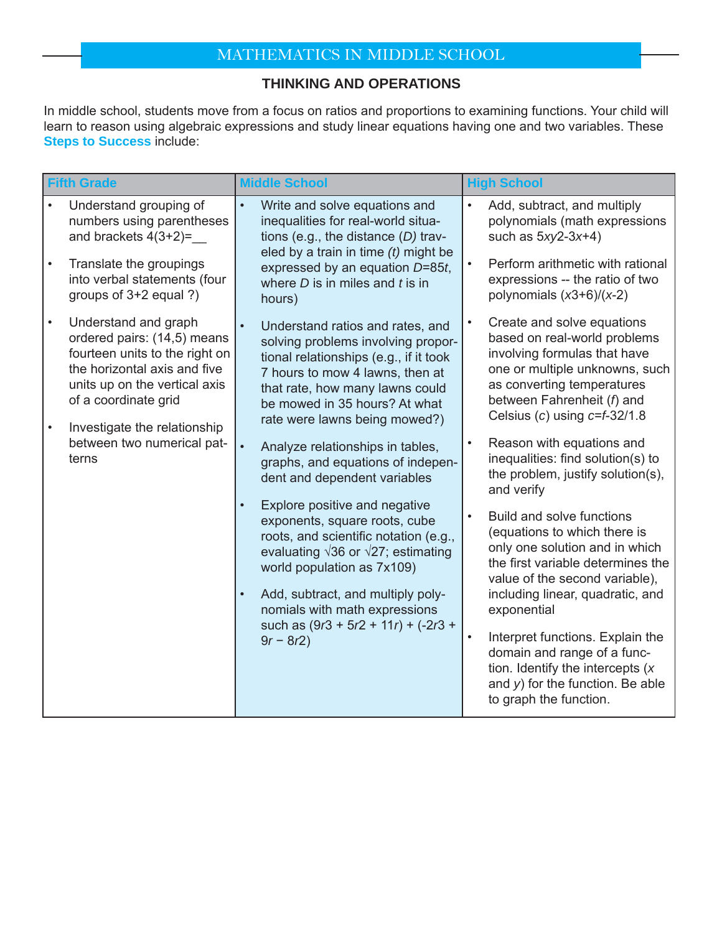# MATHEMATICS IN MIDDLE SCHOOL

#### **THINKING AND OPERATIONS**

In middle school, students move from a focus on ratios and proportions to examining functions. Your child will learn to reason using algebraic expressions and study linear equations having one and two variables. These **Steps to Success** include:

| <b>Fifth Grade</b> |                                                                                                                                                                                                                | <b>Middle School</b>                                                                                                                                                                                                                                                                                                                               |                                                                                                                                                                                                        | <b>High School</b>                                                                                                                                                                                                             |
|--------------------|----------------------------------------------------------------------------------------------------------------------------------------------------------------------------------------------------------------|----------------------------------------------------------------------------------------------------------------------------------------------------------------------------------------------------------------------------------------------------------------------------------------------------------------------------------------------------|--------------------------------------------------------------------------------------------------------------------------------------------------------------------------------------------------------|--------------------------------------------------------------------------------------------------------------------------------------------------------------------------------------------------------------------------------|
| $\bullet$          | Understand grouping of<br>numbers using parentheses<br>and brackets $4(3+2)=$<br>Translate the groupings                                                                                                       | $\bullet$<br>Write and solve equations and<br>inequalities for real-world situa-<br>tions (e.g., the distance $(D)$ trav-<br>eled by a train in time $(t)$ might be<br>expressed by an equation D=85t,                                                                                                                                             | $\bullet$<br>$\bullet$                                                                                                                                                                                 | Add, subtract, and multiply<br>polynomials (math expressions<br>such as $5xy2-3x+4$ )<br>Perform arithmetic with rational                                                                                                      |
|                    | into verbal statements (four<br>groups of 3+2 equal ?)                                                                                                                                                         | where $D$ is in miles and $t$ is in<br>hours)                                                                                                                                                                                                                                                                                                      |                                                                                                                                                                                                        | expressions -- the ratio of two<br>polynomials $(x3+6)/(x-2)$                                                                                                                                                                  |
| $\bullet$          | Understand and graph<br>ordered pairs: (14,5) means<br>fourteen units to the right on<br>the horizontal axis and five<br>units up on the vertical axis<br>of a coordinate grid<br>Investigate the relationship | Understand ratios and rates, and<br>solving problems involving propor-<br>tional relationships (e.g., if it took<br>7 hours to mow 4 lawns, then at<br>that rate, how many lawns could<br>be mowed in 35 hours? At what<br>rate were lawns being mowed?)                                                                                           | $\bullet$                                                                                                                                                                                              | Create and solve equations<br>based on real-world problems<br>involving formulas that have<br>one or multiple unknowns, such<br>as converting temperatures<br>between Fahrenheit (f) and<br>Celsius (c) using $c=$ $f=$ 32/1.8 |
|                    | between two numerical pat-<br>$\bullet$<br>terns<br>$\bullet$<br>$\bullet$                                                                                                                                     | Analyze relationships in tables,<br>graphs, and equations of indepen-<br>dent and dependent variables                                                                                                                                                                                                                                              |                                                                                                                                                                                                        | Reason with equations and<br>inequalities: find solution(s) to<br>the problem, justify solution(s),<br>and verify                                                                                                              |
|                    |                                                                                                                                                                                                                | Explore positive and negative<br>$\bullet$<br>exponents, square roots, cube<br>roots, and scientific notation (e.g.,<br>evaluating $\sqrt{36}$ or $\sqrt{27}$ ; estimating<br>world population as 7x109)<br>Add, subtract, and multiply poly-<br>nomials with math expressions<br>such as $(9r3 + 5r2 + 11r) + (-2r3 +$<br>$\bullet$<br>$9r - 8r2$ | Build and solve functions<br>(equations to which there is<br>only one solution and in which<br>the first variable determines the<br>value of the second variable),<br>including linear, quadratic, and |                                                                                                                                                                                                                                |
|                    |                                                                                                                                                                                                                |                                                                                                                                                                                                                                                                                                                                                    |                                                                                                                                                                                                        | exponential                                                                                                                                                                                                                    |
|                    |                                                                                                                                                                                                                |                                                                                                                                                                                                                                                                                                                                                    |                                                                                                                                                                                                        | Interpret functions. Explain the<br>domain and range of a func-<br>tion. Identify the intercepts $(x)$<br>and $y$ ) for the function. Be able<br>to graph the function.                                                        |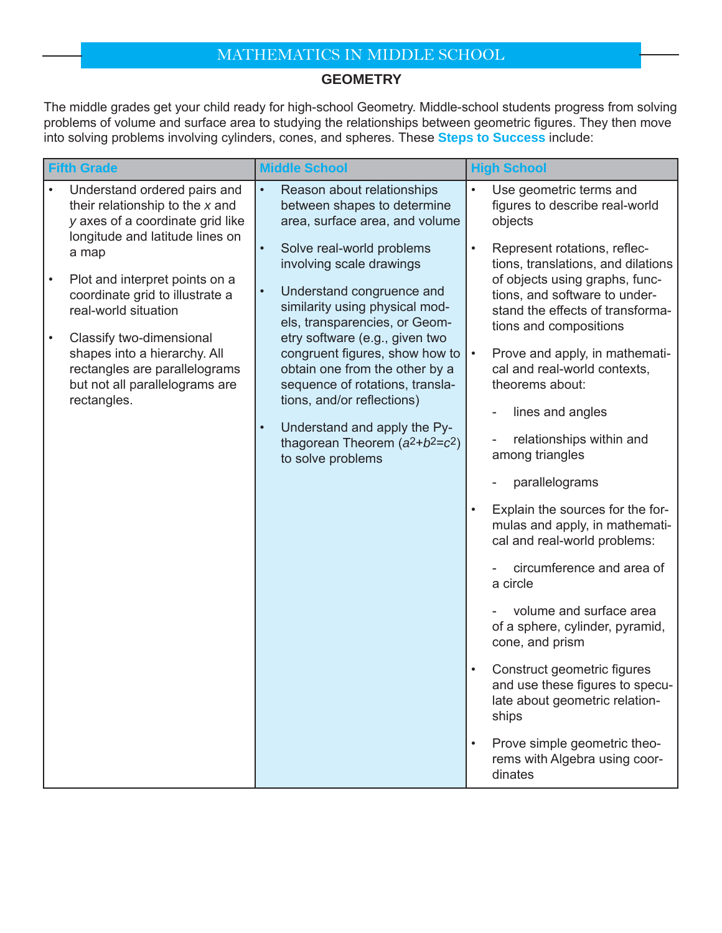# MATHEMATICS IN MIDDLE SCHOOL

### **GEOMETRY**

The middle grades get your child ready for high-school Geometry. Middle-school students progress from solving problems of volume and surface area to studying the relationships between geometric figures. They then move into solving problems involving cylinders, cones, and spheres. These **Steps to Success** include:

| <b>Fifth Grade</b>                |                                                                                                                                            | <b>Middle School</b>                                                                                                                                                                                             | <b>High School</b>                                                                                                            |
|-----------------------------------|--------------------------------------------------------------------------------------------------------------------------------------------|------------------------------------------------------------------------------------------------------------------------------------------------------------------------------------------------------------------|-------------------------------------------------------------------------------------------------------------------------------|
|                                   | Understand ordered pairs and<br>their relationship to the x and<br>y axes of a coordinate grid like                                        | $\bullet$<br>Reason about relationships<br>between shapes to determine<br>area, surface area, and volume                                                                                                         | $\bullet$<br>Use geometric terms and<br>figures to describe real-world<br>objects                                             |
| a map                             | longitude and latitude lines on                                                                                                            | Solve real-world problems<br>$\bullet$<br>involving scale drawings                                                                                                                                               | Represent rotations, reflec-<br>$\bullet$<br>tions, translations, and dilations                                               |
| $\bullet$<br>real-world situation | Plot and interpret points on a<br>coordinate grid to illustrate a                                                                          | Understand congruence and<br>$\bullet$<br>similarity using physical mod-<br>els, transparencies, or Geom-                                                                                                        | of objects using graphs, func-<br>tions, and software to under-<br>stand the effects of transforma-<br>tions and compositions |
|                                   | Classify two-dimensional<br>shapes into a hierarchy. All<br>rectangles are parallelograms<br>but not all parallelograms are<br>rectangles. | etry software (e.g., given two<br>congruent figures, show how to<br>obtain one from the other by a<br>sequence of rotations, transla-<br>tions, and/or reflections)<br>Understand and apply the Py-<br>$\bullet$ | Prove and apply, in mathemati-<br>$\bullet$<br>cal and real-world contexts,<br>theorems about:<br>lines and angles            |
|                                   |                                                                                                                                            | thagorean Theorem $(a^2+b^2=c^2)$<br>to solve problems                                                                                                                                                           | relationships within and<br>among triangles                                                                                   |
|                                   |                                                                                                                                            |                                                                                                                                                                                                                  | parallelograms                                                                                                                |
|                                   |                                                                                                                                            |                                                                                                                                                                                                                  | Explain the sources for the for-<br>$\bullet$<br>mulas and apply, in mathemati-<br>cal and real-world problems:               |
|                                   |                                                                                                                                            |                                                                                                                                                                                                                  | circumference and area of<br>a circle                                                                                         |
|                                   |                                                                                                                                            |                                                                                                                                                                                                                  | volume and surface area<br>of a sphere, cylinder, pyramid,<br>cone, and prism                                                 |
|                                   |                                                                                                                                            |                                                                                                                                                                                                                  | Construct geometric figures<br>$\bullet$<br>and use these figures to specu-<br>late about geometric relation-<br>ships        |
|                                   |                                                                                                                                            |                                                                                                                                                                                                                  | Prove simple geometric theo-<br>$\bullet$<br>rems with Algebra using coor-<br>dinates                                         |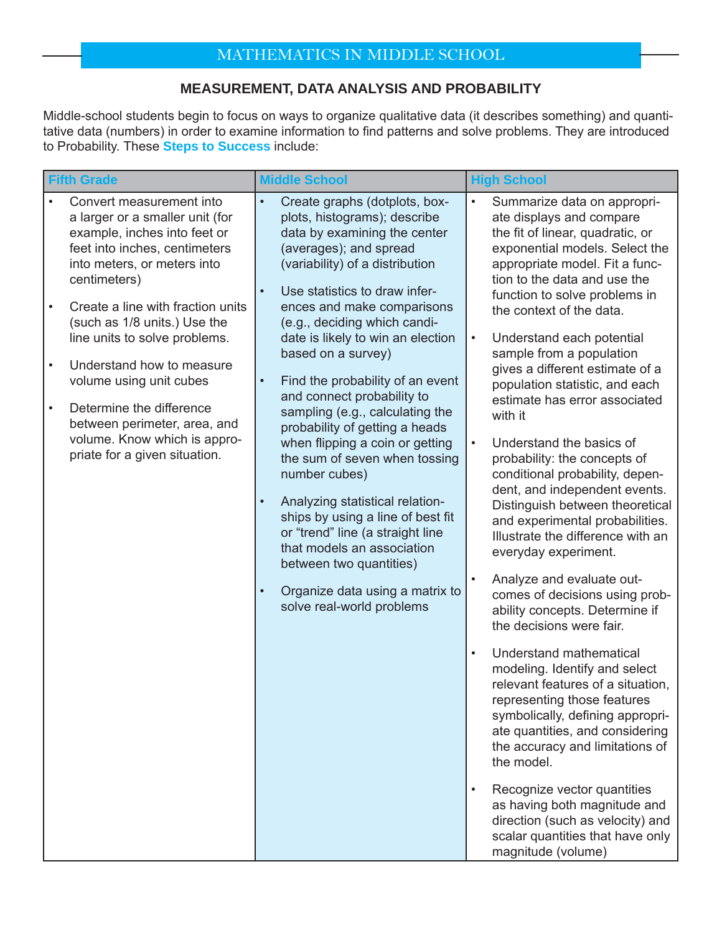## **MEASUREMENT, DATA ANALYSIS AND PROBABILITY**

Middle-school students begin to focus on ways to organize qualitative data (it describes something) and quantitative data (numbers) in order to examine information to find patterns and solve problems. They are introduced to Probability. These **Steps to Success** include:

| <b>Fifth Grade</b>     |                                                                                                                                                                                                                  | <b>Middle School</b>                                                                                                                                                                                                                                                                                                                | <b>High School</b>                                                                                                                                                                                                                                                                                                                                                                           |
|------------------------|------------------------------------------------------------------------------------------------------------------------------------------------------------------------------------------------------------------|-------------------------------------------------------------------------------------------------------------------------------------------------------------------------------------------------------------------------------------------------------------------------------------------------------------------------------------|----------------------------------------------------------------------------------------------------------------------------------------------------------------------------------------------------------------------------------------------------------------------------------------------------------------------------------------------------------------------------------------------|
| $\bullet$              | Convert measurement into<br>a larger or a smaller unit (for<br>example, inches into feet or<br>feet into inches, centimeters<br>into meters, or meters into<br>centimeters)<br>Create a line with fraction units | Create graphs (dotplots, box-<br>$\bullet$<br>plots, histograms); describe<br>data by examining the center<br>(averages); and spread<br>(variability) of a distribution<br>Use statistics to draw infer-<br>$\bullet$                                                                                                               | $\bullet$<br>Summarize data on appropri-<br>ate displays and compare<br>the fit of linear, quadratic, or<br>exponential models. Select the<br>appropriate model. Fit a func-<br>tion to the data and use the<br>function to solve problems in                                                                                                                                                |
|                        | (such as 1/8 units.) Use the<br>line units to solve problems.                                                                                                                                                    | ences and make comparisons<br>(e.g., deciding which candi-<br>date is likely to win an election<br>based on a survey)                                                                                                                                                                                                               | the context of the data.<br>Understand each potential<br>sample from a population                                                                                                                                                                                                                                                                                                            |
| $\bullet$<br>$\bullet$ | Understand how to measure<br>volume using unit cubes<br>Determine the difference<br>between perimeter, area, and                                                                                                 | Find the probability of an event<br>$\bullet$<br>and connect probability to<br>sampling (e.g., calculating the<br>probability of getting a heads                                                                                                                                                                                    | gives a different estimate of a<br>population statistic, and each<br>estimate has error associated<br>with it                                                                                                                                                                                                                                                                                |
|                        | volume. Know which is appro-<br>priate for a given situation.                                                                                                                                                    | when flipping a coin or getting<br>the sum of seven when tossing<br>number cubes)<br>Analyzing statistical relation-<br>ships by using a line of best fit<br>or "trend" line (a straight line<br>that models an association<br>between two quantities)<br>Organize data using a matrix to<br>$\bullet$<br>solve real-world problems | Understand the basics of<br>probability: the concepts of<br>conditional probability, depen-<br>dent, and independent events.<br>Distinguish between theoretical<br>and experimental probabilities.<br>Illustrate the difference with an<br>everyday experiment.<br>Analyze and evaluate out-<br>comes of decisions using prob-<br>ability concepts. Determine if<br>the decisions were fair. |
|                        |                                                                                                                                                                                                                  |                                                                                                                                                                                                                                                                                                                                     | Understand mathematical<br>modeling. Identify and select<br>relevant features of a situation,<br>representing those features<br>symbolically, defining appropri-<br>ate quantities, and considering<br>the accuracy and limitations of<br>the model.                                                                                                                                         |
|                        |                                                                                                                                                                                                                  |                                                                                                                                                                                                                                                                                                                                     | Recognize vector quantities<br>as having both magnitude and<br>direction (such as velocity) and<br>scalar quantities that have only<br>magnitude (volume)                                                                                                                                                                                                                                    |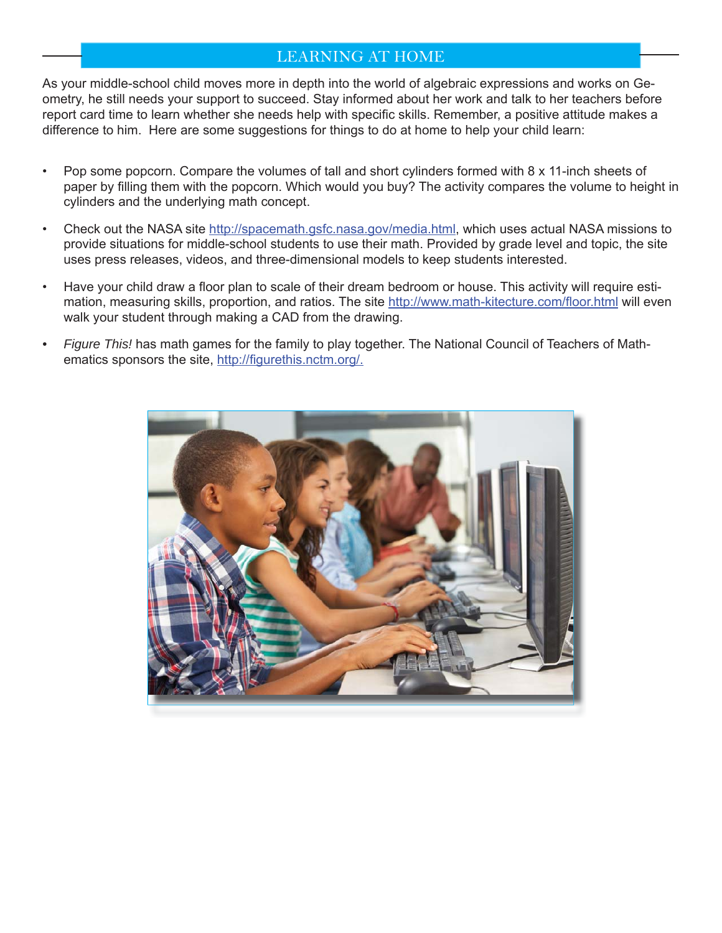## LEARNING AT HOME

As your middle-school child moves more in depth into the world of algebraic expressions and works on Geometry, he still needs your support to succeed. Stay informed about her work and talk to her teachers before report card time to learn whether she needs help with specific skills. Remember, a positive attitude makes a difference to him. Here are some suggestions for things to do at home to help your child learn:

- Pop some popcorn. Compare the volumes of tall and short cylinders formed with 8 x 11-inch sheets of paper by filling them with the popcorn. Which would you buy? The activity compares the volume to height in cylinders and the underlying math concept.
- Check out the NASA site http://spacemath.gsfc.nasa.gov/media.html, which uses actual NASA missions to provide situations for middle-school students to use their math. Provided by grade level and topic, the site uses press releases, videos, and three-dimensional models to keep students interested.
- Have your child draw a floor plan to scale of their dream bedroom or house. This activity will require estimation, measuring skills, proportion, and ratios. The site http://www.math-kitecture.com/floor.html will even walk your student through making a CAD from the drawing.
- *Figure This!* has math games for the family to play together. The National Council of Teachers of Mathematics sponsors the site, http://figurethis.nctm.org/.